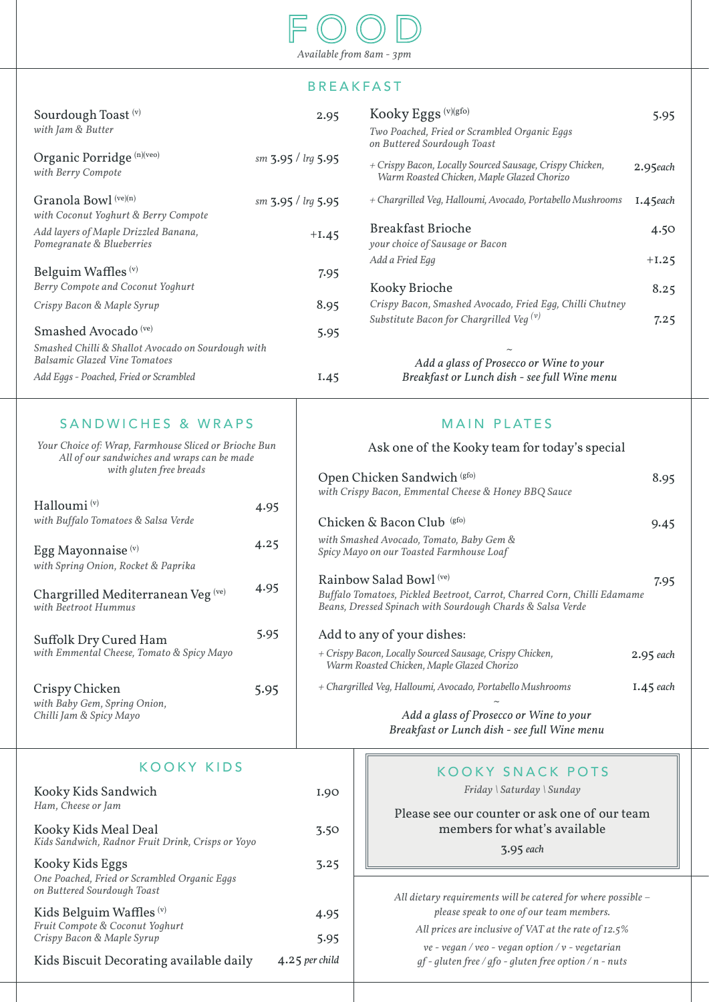

### BREAKFAST

| Sourdough Toast <sup>(v)</sup><br>with Jam & Butter                                   | 2.95                   | Kooky Eggs (v)(gfo)<br>Two Poached, Fried or Scrambled Organic Eggs                                                                   | 5.95        |
|---------------------------------------------------------------------------------------|------------------------|---------------------------------------------------------------------------------------------------------------------------------------|-------------|
| Organic Porridge (n)(veo)<br>with Berry Compote                                       | sm 3.95 / lrg 5.95     | on Buttered Sourdough Toast<br>+ Crispy Bacon, Locally Sourced Sausage, Crispy Chicken,<br>Warm Roasted Chicken, Maple Glazed Chorizo | $2.95$ each |
| Granola Bowl (ve)(n)<br>with Coconut Yoghurt & Berry Compote                          | sm $3.95 /$ lrg $5.95$ | + Chargrilled Veg, Halloumi, Avocado, Portabello Mushrooms                                                                            | I.45each    |
| Add layers of Maple Drizzled Banana,<br>Pomegranate & Blueberries                     | $+1.45$                | <b>Breakfast Brioche</b><br>your choice of Sausage or Bacon                                                                           | 4.50        |
| Belguim Waffles <sup>(v)</sup>                                                        | 7.95                   | Add a Fried Egg                                                                                                                       | $+1.25$     |
| Berry Compote and Coconut Yoghurt<br>Crispy Bacon & Maple Syrup                       | 8.95                   | Kooky Brioche<br>Crispy Bacon, Smashed Avocado, Fried Egg, Chilli Chutney                                                             | 8.25        |
| Smashed Avocado <sup>(ve)</sup><br>Smashed Chilli & Shallot Avocado on Sourdough with | 5.95                   | Substitute Bacon for Chargrilled Veq $(v)$                                                                                            | 7.25        |
| <b>Balsamic Glazed Vine Tomatoes</b><br>Add Eggs - Poached, Fried or Scrambled        | 1.45                   | Add a glass of Prosecco or Wine to your<br>Breakfast or Lunch dish - see full Wine menu                                               |             |

### SANDWICHES & WRAPS

*Your Choice of: Wrap, Farmhouse Sliced or Brioche Bun All of our sandwiches and wraps can be made with gluten free breads*

| Halloumi $(v)$<br>with Buffalo Tomatoes & Salsa Verde                     | 4.95 |
|---------------------------------------------------------------------------|------|
| Egg Mayonnaise $(v)$<br>with Spring Onion, Rocket & Paprika               | 4.25 |
| Chargrilled Mediterranean Veg (ve)<br>with Beetroot Hummus                | 4.95 |
| Suffolk Dry Cured Ham<br>with Emmental Cheese, Tomato & Spicy Mayo        | 5.95 |
| Crispy Chicken<br>with Baby Gem, Spring Onion,<br>Chilli Jam & Spicy Mayo | 5.95 |

## KOOKY KIDS

| Kooky Kids Sandwich<br>Ham, Cheese or Jam                                                      | I.90             |
|------------------------------------------------------------------------------------------------|------------------|
| Kooky Kids Meal Deal<br>Kids Sandwich, Radnor Fruit Drink, Crisps or Yoyo                      | 3.50             |
| Kooky Kids Eggs<br>One Poached, Fried or Scrambled Organic Eggs<br>on Buttered Sourdough Toast | 3.25             |
| Kids Belguim Waffles $(v)$<br>Fruit Compote & Coconut Yoghurt                                  | 4.95             |
| Crispy Bacon & Maple Syrup                                                                     | 5.95             |
| Kids Biscuit Decorating available daily                                                        | $4.25$ per child |

### MAIN PLATES

| Bun  | Ask one of the Kooky team for today's special                                                                                                                     |             |  |  |
|------|-------------------------------------------------------------------------------------------------------------------------------------------------------------------|-------------|--|--|
|      | Open Chicken Sandwich (gfo)<br>with Crispy Bacon, Emmental Cheese & Honey BBQ Sauce                                                                               | 8.95        |  |  |
| 4.95 |                                                                                                                                                                   |             |  |  |
|      | Chicken & Bacon Club (gfo)                                                                                                                                        | 9.45        |  |  |
| 4.25 | with Smashed Avocado, Tomato, Baby Gem &<br>Spicy Mayo on our Toasted Farmhouse Loaf                                                                              |             |  |  |
| 4.95 | Rainbow Salad Bowl (ve)<br>Buffalo Tomatoes, Pickled Beetroot, Carrot, Charred Corn, Chilli Edamame<br>Beans, Dressed Spinach with Sourdough Chards & Salsa Verde | 7.95        |  |  |
| 5.95 | Add to any of your dishes:                                                                                                                                        |             |  |  |
|      | + Crispy Bacon, Locally Sourced Sausage, Crispy Chicken,<br>Warm Roasted Chicken, Maple Glazed Chorizo                                                            | $2.95$ each |  |  |
| 5.95 | + Chargrilled Veg, Halloumi, Avocado, Portabello Mushrooms                                                                                                        | $1.45$ each |  |  |
|      |                                                                                                                                                                   |             |  |  |

*Add a glass of Prosecco or Wine to your Breakfast or Lunch dish - see full Wine menu*

# KOOKY SNACK POTS

*Friday \ Saturday \ Sunday*

# Please see our counter or ask one of our team members for what's available

3.95 *each*

*All dietary requirements will be catered for where possible – please speak to one of our team members.*

*All prices are inclusive of VAT at the rate of 12.5%*

*ve - vegan / veo - vegan option / v - vegetarian* 

*gf - gluten free / gfo - gluten free option / n - nuts*